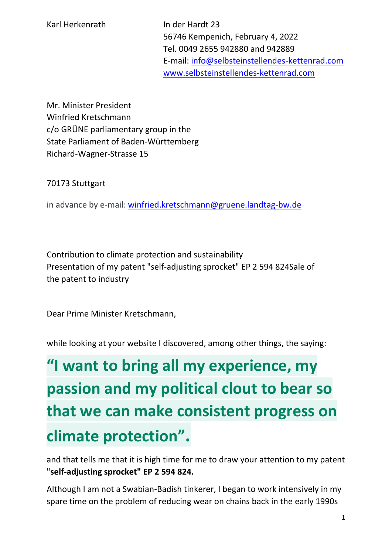56746 Kempenich, February 4, 2022 Tel. 0049 2655 942880 and 942889 E-mail: [info@selbsteinstellendes-kettenrad.com](mailto:info@selbsteinstellendes-kettenrad.com) [www.selbsteinstellendes-kettenrad.com](http://www.selbsteinstellendes-kettenrad.com/)

Mr. Minister President Winfried Kretschmann c/o GRÜNE parliamentary group in the State Parliament of Baden-Württemberg Richard-Wagner-Strasse 15

70173 Stuttgart

in advance by e-mail: [winfried.kretschmann@gruene.landtag-bw.de](mailto:winfried.kretschmann@gruene.landtag-bw.de)

Contribution to climate protection and sustainability Presentation of my patent "self-adjusting sprocket" EP 2 594 824Sale of the patent to industry

Dear Prime Minister Kretschmann,

while looking at your website I discovered, among other things, the saying:

## **"I want to bring all my experience, my passion and my political clout to bear so that we can make consistent progress on climate protection".**

and that tells me that it is high time for me to draw your attention to my patent "**self-adjusting sprocket" EP 2 594 824.** 

Although I am not a Swabian-Badish tinkerer, I began to work intensively in my spare time on the problem of reducing wear on chains back in the early 1990s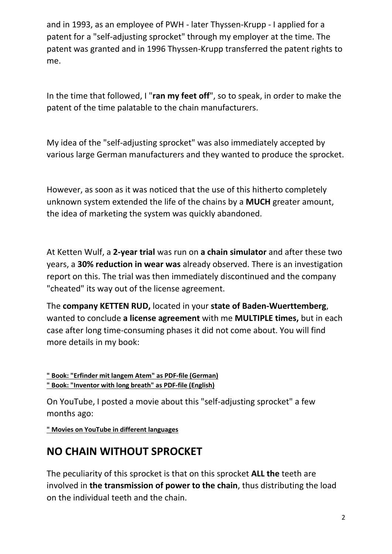and in 1993, as an employee of PWH - later Thyssen-Krupp - I applied for a patent for a "self-adjusting sprocket" through my employer at the time. The patent was granted and in 1996 Thyssen-Krupp transferred the patent rights to me.

In the time that followed, I "**ran my feet off**", so to speak, in order to make the patent of the time palatable to the chain manufacturers.

My idea of the "self-adjusting sprocket" was also immediately accepted by various large German manufacturers and they wanted to produce the sprocket.

However, as soon as it was noticed that the use of this hitherto completely unknown system extended the life of the chains by a **MUCH** greater amount, the idea of marketing the system was quickly abandoned.

At Ketten Wulf, a **2-year trial** was run on **a chain simulator** and after these two years, a **30% reduction in wear was** already observed. There is an investigation report on this. The trial was then immediately discontinued and the company "cheated" its way out of the license agreement.

The **company KETTEN RUD,** located in your **state of Baden-Wuerttemberg**, wanted to conclude **a license agreement** with me **MULTIPLE times,** but in each case after long time-consuming phases it did not come about. You will find more details in my book:

**[" Book: "Erfinder mit langem Atem" as PDF-file \(German\)](https://selbsteinstellendes-kettenrad.com/downloads/Erfinder-mit-langem-Atem---ebook-mit-Rueckseite.pdf) [" Book: "Inventor with long breath" as PDF-file \(English\)](https://selbsteinstellendes-kettenrad.com/downloads/Erfinder-mit-langem-Atem---Englisch.pdf)**

On YouTube, I posted a movie about this "self-adjusting sprocket" a few months ago:

**[" Movies on YouTube in different languages](https://www.selbsteinstellendes-kettenrad.com/yt.php)**

## **NO CHAIN WITHOUT SPROCKET**

The peculiarity of this sprocket is that on this sprocket **ALL the** teeth are involved in **the transmission of power to the chain**, thus distributing the load on the individual teeth and the chain.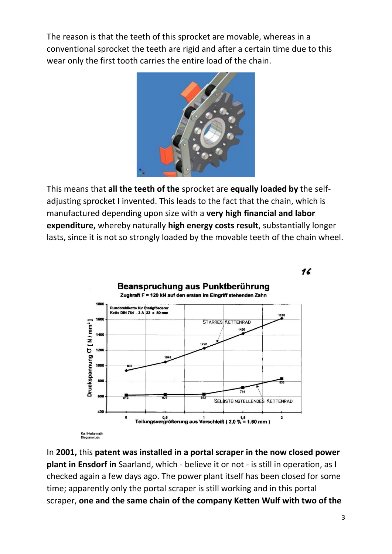The reason is that the teeth of this sprocket are movable, whereas in a conventional sprocket the teeth are rigid and after a certain time due to this wear only the first tooth carries the entire load of the chain.



This means that **all the teeth of the** sprocket are **equally loaded by** the selfadjusting sprocket I invented. This leads to the fact that the chain, which is manufactured depending upon size with a **very high financial and labor expenditure,** whereby naturally **high energy costs result**, substantially longer lasts, since it is not so strongly loaded by the movable teeth of the chain wheel.



In **2001,** this **patent was installed in a portal scraper in the now closed power plant in Ensdorf in** Saarland, which - believe it or not - is still in operation, as I checked again a few days ago. The power plant itself has been closed for some time; apparently only the portal scraper is still working and in this portal scraper, **one and the same chain of the company Ketten Wulf with two of the**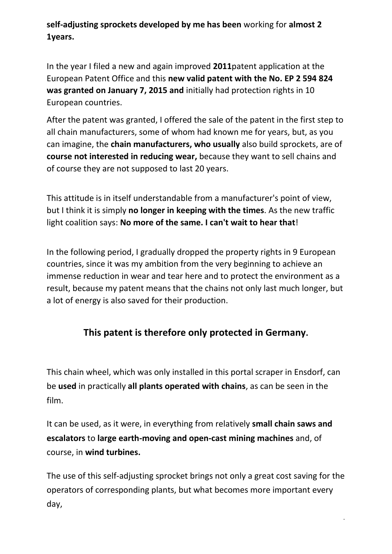**self-adjusting sprockets developed by me has been** working for **almost 2 1years.** 

In the year I filed a new and again improved **2011**patent application at the European Patent Office and this **new valid patent with the No. EP 2 594 824 was granted on January 7, 2015 and** initially had protection rights in 10 European countries.

After the patent was granted, I offered the sale of the patent in the first step to all chain manufacturers, some of whom had known me for years, but, as you can imagine, the **chain manufacturers, who usually** also build sprockets, are of **course not interested in reducing wear,** because they want to sell chains and of course they are not supposed to last 20 years.

This attitude is in itself understandable from a manufacturer's point of view, but I think it is simply **no longer in keeping with the times**. As the new traffic light coalition says: **No more of the same. I can't wait to hear that**!

In the following period, I gradually dropped the property rights in 9 European countries, since it was my ambition from the very beginning to achieve an immense reduction in wear and tear here and to protect the environment as a result, because my patent means that the chains not only last much longer, but a lot of energy is also saved for their production.

## **This patent is therefore only protected in Germany.**

This chain wheel, which was only installed in this portal scraper in Ensdorf, can be **used** in practically **all plants operated with chains**, as can be seen in the film.

It can be used, as it were, in everything from relatively **small chain saws and escalators** to **large earth-moving and open-cast mining machines** and, of course, in **wind turbines.**

The use of this self-adjusting sprocket brings not only a great cost saving for the operators of corresponding plants, but what becomes more important every day,

4